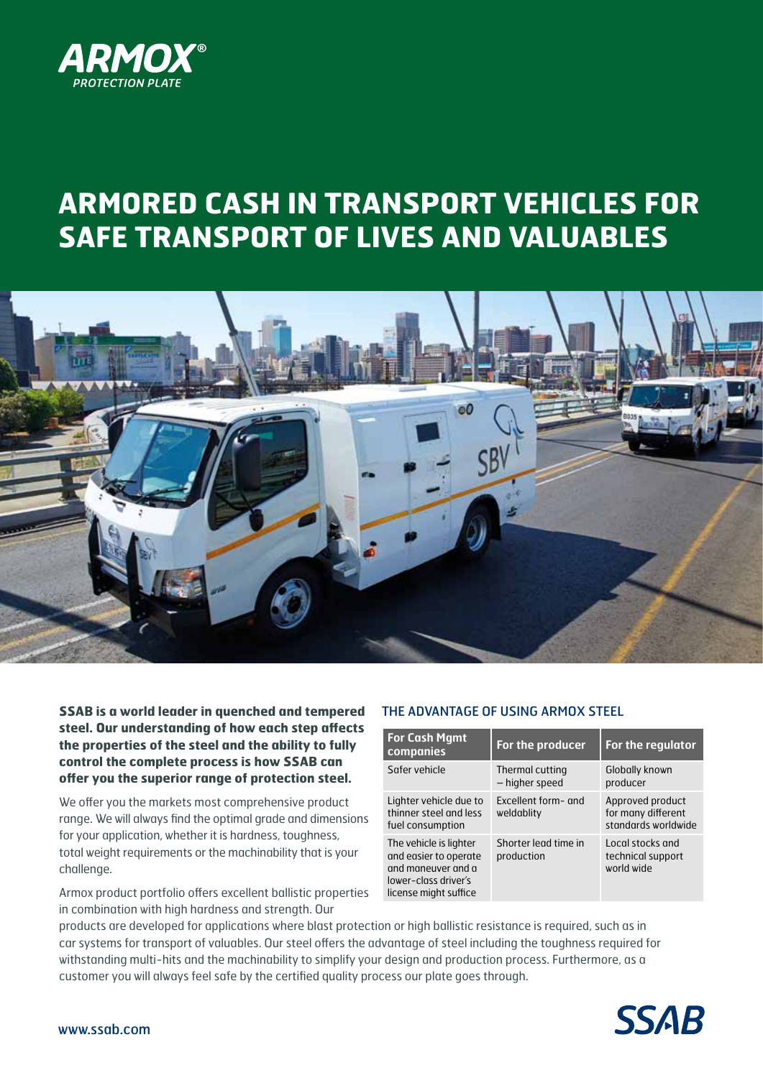

# **ARMORED CASH IN TRANSPORT VEHICLES FOR SAFE TRANSPORT OF LIVES AND VALUABLES**



**SSAB is a world leader in quenched and tempered steel. Our understanding of how each step affects the properties of the steel and the ability to fully control the complete process is how SSAB can offer you the superior range of protection steel.**

We offer you the markets most comprehensive product range. We will always find the optimal grade and dimensions for your application, whether it is hardness, toughness, total weight requirements or the machinability that is your challenge.

Armox product portfolio offers excellent ballistic properties in combination with high hardness and strength. Our

### THE ADVANTAGE OF USING ARMOX STEEL

| <b>For Cash Mgmt</b><br>companies                                                                                      | For the producer                   | For the regulator                                             |  |
|------------------------------------------------------------------------------------------------------------------------|------------------------------------|---------------------------------------------------------------|--|
| Safer vehicle                                                                                                          | Thermal cutting<br>- higher speed  | Globally known<br>producer                                    |  |
| Lighter vehicle due to<br>thinner steel and less<br>fuel consumption                                                   | Excellent form- and<br>weldablity  | Approved product<br>for many different<br>standards worldwide |  |
| The vehicle is lighter<br>and easier to operate<br>and maneuver and a<br>lower-class driver's<br>license might suffice | Shorter lead time in<br>production | Local stocks and<br>technical support<br>world wide           |  |

products are developed for applications where blast protection or high ballistic resistance is required, such as in car systems for transport of valuables. Our steel offers the advantage of steel including the toughness required for withstanding multi-hits and the machinability to simplify your design and production process. Furthermore, as a customer you will always feel safe by the certified quality process our plate goes through.